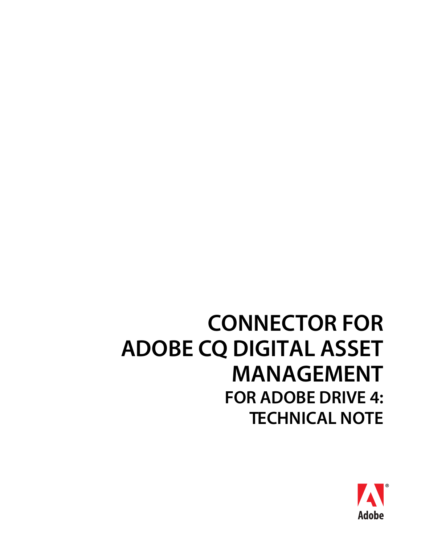# **CONNECTOR FOR ADOBE CQ DIGITAL ASSET MANAGEMENT FOR ADOBE DRIVE 4: TECHNICAL NOTE**

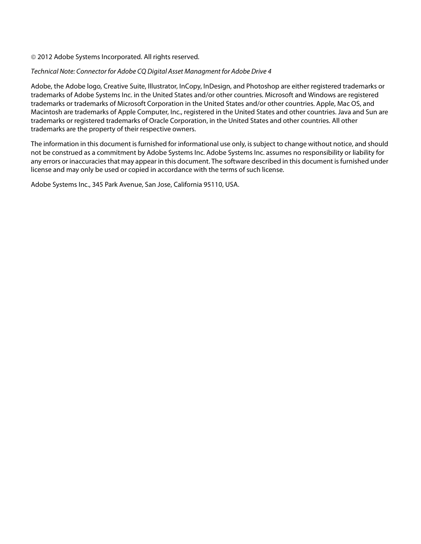#### © 2012 Adobe Systems Incorporated. All rights reserved.

#### Technical Note: Connector for Adobe CQ Digital Asset Managment for Adobe Drive 4

Adobe, the Adobe logo, Creative Suite, Illustrator, InCopy, InDesign, and Photoshop are either registered trademarks or trademarks of Adobe Systems Inc. in the United States and/or other countries. Microsoft and Windows are registered trademarks or trademarks of Microsoft Corporation in the United States and/or other countries. Apple, Mac OS, and Macintosh are trademarks of Apple Computer, Inc., registered in the United States and other countries. Java and Sun are trademarks or registered trademarks of Oracle Corporation, in the United States and other countries. All other trademarks are the property of their respective owners.

The information in this document is furnished for informational use only, is subject to change without notice, and should not be construed as a commitment by Adobe Systems Inc. Adobe Systems Inc. assumes no responsibility or liability for any errors or inaccuracies that may appear in this document. The software described in this document is furnished under license and may only be used or copied in accordance with the terms of such license.

Adobe Systems Inc., 345 Park Avenue, San Jose, California 95110, USA.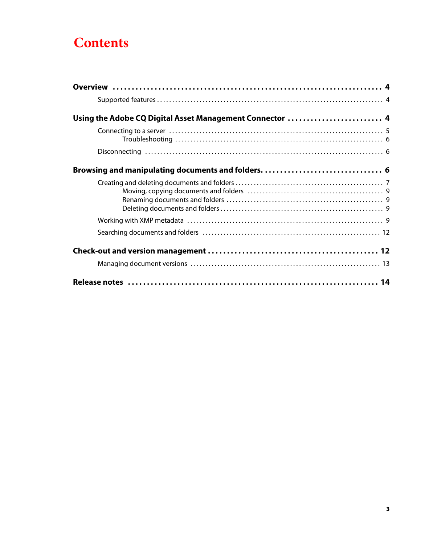# **Contents**

| Using the Adobe CQ Digital Asset Management Connector  4 |  |
|----------------------------------------------------------|--|
|                                                          |  |
|                                                          |  |
|                                                          |  |
|                                                          |  |
|                                                          |  |
|                                                          |  |
|                                                          |  |
|                                                          |  |
|                                                          |  |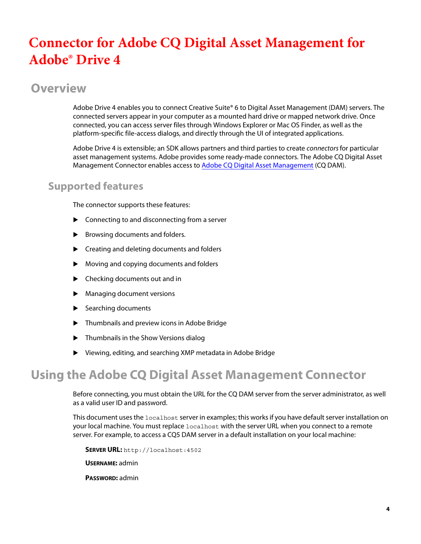# **Connector for Adobe CQ Digital Asset Management for Adobe® Drive 4**

# **Overview**

Adobe Drive 4 enables you to connect Creative Suite® 6 to Digital Asset Management (DAM) servers. The connected servers appear in your computer as a mounted hard drive or mapped network drive. Once connected, you can access server files through Windows Explorer or Mac OS Finder, as well as the platform-specific file-access dialogs, and directly through the UI of integrated applications.

Adobe Drive 4 is extensible; an SDK allows partners and third parties to create connectors for particular asset management systems. Adobe provides some ready-made connectors. The Adobe CQ Digital Asset Management Connector enables access to [Adobe CQ Digital Asset Management](http://www.adobe.com/go/learn_cq_dam_drive_10) (CQ DAM).

### <span id="page-3-0"></span>**Supported features**

The connector supports these features:

- ▶ Connecting to and disconnecting from a server
- Browsing documents and folders.
- ▶ Creating and deleting documents and folders
- Moving and copying documents and folders
- ▶ Checking documents out and in
- Managing document versions
- $\blacktriangleright$  Searching documents
- ▶ Thumbnails and preview icons in Adobe Bridge
- **Thumbnails in the Show Versions dialog**
- Viewing, editing, and searching XMP metadata in Adobe Bridge

# <span id="page-3-1"></span>**Using the Adobe CQ Digital Asset Management Connector**

Before connecting, you must obtain the URL for the CQ DAM server from the server administrator, as well as a valid user ID and password.

This document uses the localhost server in examples; this works if you have default server installation on your local machine. You must replace localhost with the server URL when you connect to a remote server. For example, to access a CQ5 DAM server in a default installation on your local machine:

**SERVER URL:** <http://localhost:4502>

**USERNAME:** admin

**PASSWORD:** admin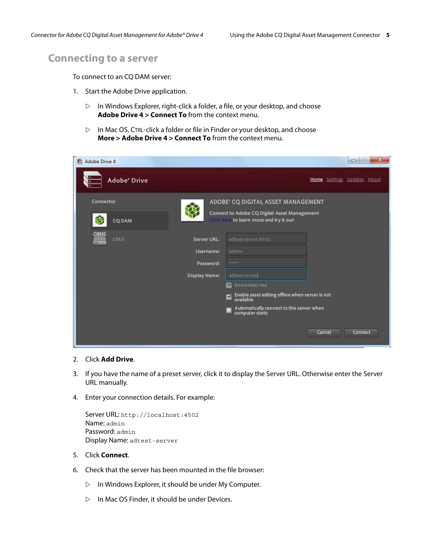#### <span id="page-4-0"></span>**Connecting to a server**

To connect to an CQ DAM server:

- 1. Start the Adobe Drive application.
	- $\triangleright$  In Windows Explorer, right-click a folder, a file, or your desktop, and choose **Adobe Drive 4 > Connect To** from the context menu.
	- $\triangleright$  In Mac OS, CTRL-click a folder or file in Finder or your desktop, and choose **More > Adobe Drive 4 > Connect To** from the context menu.

| <b>Adobe Drive 4</b><br>e |               |                                                                                         | $\mathbf{x}$<br>$\Box$      |
|---------------------------|---------------|-----------------------------------------------------------------------------------------|-----------------------------|
| <b>Adobe</b> Drive        |               |                                                                                         | Home Settings Updates About |
| Connector                 |               | ADOBE' CQ DIGITAL ASSET MANAGEMENT                                                      |                             |
| ₩<br><b>CQ DAM</b>        |               | Connect to Adobe CQ Digital Asset Management<br>Click here to learn more and try it out |                             |
| CMIS<br>CMIS<br>-         | Server URL:   | adtest-server:4502                                                                      |                             |
|                           | Username:     | admin                                                                                   |                             |
|                           | Password:     | <b>MARKIN</b>                                                                           |                             |
|                           | Display Name: | adtest-server                                                                           |                             |
|                           |               | Remember me<br>$\overline{\mathbf{v}}$                                                  |                             |
|                           |               | Enable asset editing offline when server is not<br>available<br>$\overline{\mathbf{z}}$ |                             |
|                           |               | Automatically connect to this server when<br>computer starts<br>$\blacksquare$          |                             |
|                           |               |                                                                                         | Cancel<br>Connect           |

- 2. Click **Add Drive**.
- 3. If you have the name of a preset server, click it to display the Server URL. Otherwise enter the Server URL manually.
- 4. Enter your connection details. For example:

```
Server URL: http://localhost:4502
Name: admin
Password: admin
Display Name: adtest-server
```
- 5. Click **Connect**.
- 6. Check that the server has been mounted in the file browser:
	- $\triangleright$  In Windows Explorer, it should be under My Computer.
	- $\triangleright$  In Mac OS Finder, it should be under Devices.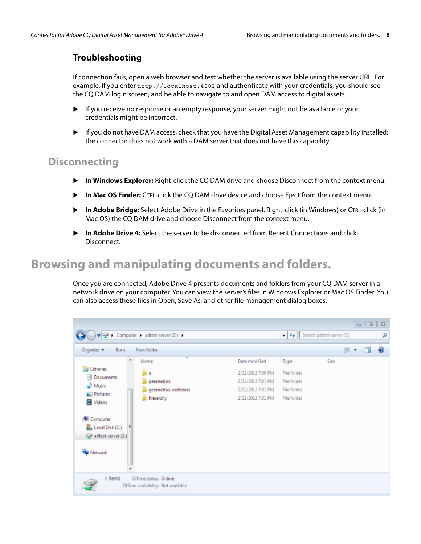#### <span id="page-5-0"></span>**Troubleshooting**

If connection fails, open a web browser and test whether the server is available using the server URL. For example, if you enter <http://localhost:4502> and authenticate with your credentials, you should see the CQ DAM login screen, and be able to navigate to and open DAM access to digital assets.

- If you receive no response or an empty response, your server might not be available or your credentials might be incorrect.
- If you do not have DAM access, check that you have the Digital Asset Management capability installed; the connector does not work with a DAM server that does not have this capability.

### <span id="page-5-1"></span>**Disconnecting**

- **In Windows Explorer:** Right-click the CQ DAM drive and choose Disconnect from the context menu.
- **In Mac OS Finder:** CTRL-click the CQ DAM drive device and choose Eject from the context menu.
- **In Adobe Bridge:** Select Adobe Drive in the Favorites panel. Right-click (in Windows) or CTRL-click (in Mac OS) the CQ DAM drive and choose Disconnect from the context menu.
- **In Adobe Drive 4:** Select the server to be disconnected from Recent Connections and click Disconnect.

# <span id="page-5-2"></span>**Browsing and manipulating documents and folders.**

Once you are connected, Adobe Drive 4 presents documents and folders from your CQ DAM server in a network drive on your computer. You can view the server's files in Windows Explorer or Mac OS Finder. You can also access these files in Open, Save As, and other file management dialog boxes.

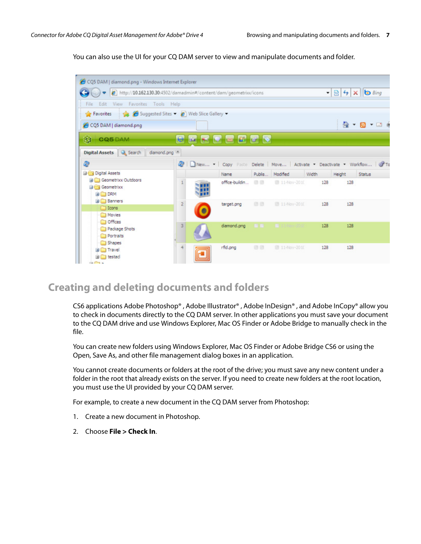You can also use the UI for your CQ DAM server to view and manipulate documents and folder.



#### <span id="page-6-0"></span>**Creating and deleting documents and folders**

CS6 applications Adobe Photoshop® , Adobe Illustrator® , Adobe InDesign® , and Adobe InCopy® allow you to check in documents directly to the CQ DAM server. In other applications you must save your document to the CQ DAM drive and use Windows Explorer, Mac OS Finder or Adobe Bridge to manually check in the file.

You can create new folders using Windows Explorer, Mac OS Finder or Adobe Bridge CS6 or using the Open, Save As, and other file management dialog boxes in an application.

You cannot create documents or folders at the root of the drive; you must save any new content under a folder in the root that already exists on the server. If you need to create new folders at the root location, you must use the UI provided by your CQ DAM server.

For example, to create a new document in the CQ DAM server from Photoshop:

- 1. Create a new document in Photoshop.
- 2. Choose **File > Check In**.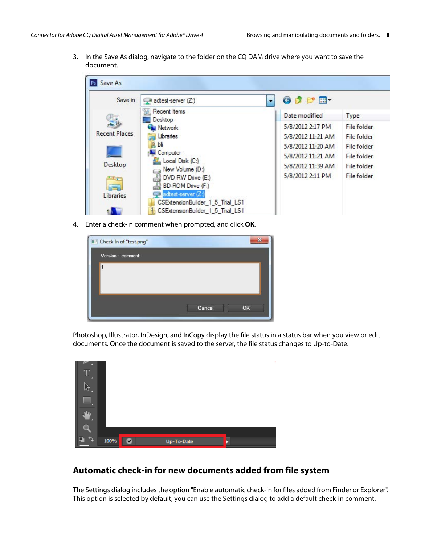3. In the Save As dialog, navigate to the folder on the CQ DAM drive where you want to save the document.

| Save in:             | adtest-server (Z:)                 | d H-              |                    |
|----------------------|------------------------------------|-------------------|--------------------|
|                      | Recent Items<br>Desktop            | Date modified     | Type               |
|                      | <b>Civil</b> Network               | 5/8/2012 2:17 PM  | <b>File folder</b> |
| <b>Recent Places</b> | Libraries                          | 5/8/2012 11:21 AM | <b>File folder</b> |
|                      | bli                                | 5/8/2012 11:20 AM | <b>File folder</b> |
|                      | Computer                           | 5/8/2012 11:21 AM | File folder        |
| Desktop              | Local Disk (C:)<br>New Volume (D:) | 5/8/2012 11:39 AM | <b>File folder</b> |
| <b>Card</b>          | DVD RW Drive (E:)                  | 5/8/2012 2:11 PM  | <b>File folder</b> |
|                      | BD-ROM Drive (F:)                  |                   |                    |
| Libraries            | adtest-server (Z:)                 |                   |                    |

4. Enter a check-in comment when prompted, and click **OK**.

| Check In of "test.png" |        | $\overline{\mathbf{x}}$ |
|------------------------|--------|-------------------------|
| Version 1 comment:     |        |                         |
|                        |        |                         |
|                        |        |                         |
|                        |        |                         |
|                        | Cancel | OK                      |
|                        |        |                         |

Photoshop, Illustrator, InDesign, and InCopy display the file status in a status bar when you view or edit documents. Once the document is saved to the server, the file status changes to Up-to-Date.

|   |      |   |            |  | ٠ |
|---|------|---|------------|--|---|
|   |      |   |            |  |   |
|   |      |   |            |  |   |
| и |      |   |            |  |   |
|   | 100% | M | Up-To-Date |  |   |

#### <span id="page-7-0"></span>**Automatic check-in for new documents added from file system**

The Settings dialog includes the option "Enable automatic check-in for files added from Finder or Explorer". This option is selected by default; you can use the Settings dialog to add a default check-in comment.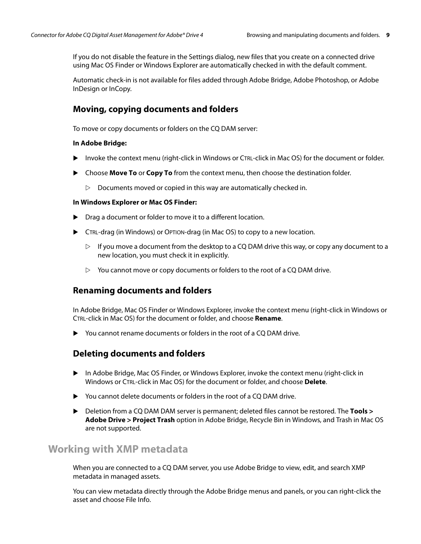If you do not disable the feature in the Settings dialog, new files that you create on a connected drive using Mac OS Finder or Windows Explorer are automatically checked in with the default comment.

Automatic check-in is not available for files added through Adobe Bridge, Adobe Photoshop, or Adobe InDesign or InCopy.

#### **Moving, copying documents and folders**

To move or copy documents or folders on the CQ DAM server:

#### **In Adobe Bridge:**

- Invoke the context menu (right-click in Windows or CTRL-click in Mac OS) for the document or folder.
- Choose **Move To** or **Copy To** from the context menu, then choose the destination folder.
	- $\triangleright$  Documents moved or copied in this way are automatically checked in.

#### **In Windows Explorer or Mac OS Finder:**

- ▶ Drag a document or folder to move it to a different location.
- CTRL-drag (in Windows) or OPTION-drag (in Mac OS) to copy to a new location.
	- $\triangleright$  If you move a document from the desktop to a CQ DAM drive this way, or copy any document to a new location, you must check it in explicitly.
	- $\triangleright$  You cannot move or copy documents or folders to the root of a CQ DAM drive.

#### <span id="page-8-0"></span>**Renaming documents and folders**

In Adobe Bridge, Mac OS Finder or Windows Explorer, invoke the context menu (right-click in Windows or CTRL-click in Mac OS) for the document or folder, and choose **Rename**.

You cannot rename documents or folders in the root of a CQ DAM drive.

#### <span id="page-8-1"></span>**Deleting documents and folders**

- In Adobe Bridge, Mac OS Finder, or Windows Explorer, invoke the context menu (right-click in Windows or CTRL-click in Mac OS) for the document or folder, and choose **Delete**.
- ▶ You cannot delete documents or folders in the root of a CQ DAM drive.
- Deletion from a CQ DAM DAM server is permanent; deleted files cannot be restored. The **Tools > Adobe Drive > Project Trash** option in Adobe Bridge, Recycle Bin in Windows, and Trash in Mac OS are not supported.

#### <span id="page-8-2"></span>**Working with XMP metadata**

When you are connected to a CQ DAM server, you use Adobe Bridge to view, edit, and search XMP metadata in managed assets.

You can view metadata directly through the Adobe Bridge menus and panels, or you can right-click the asset and choose File Info.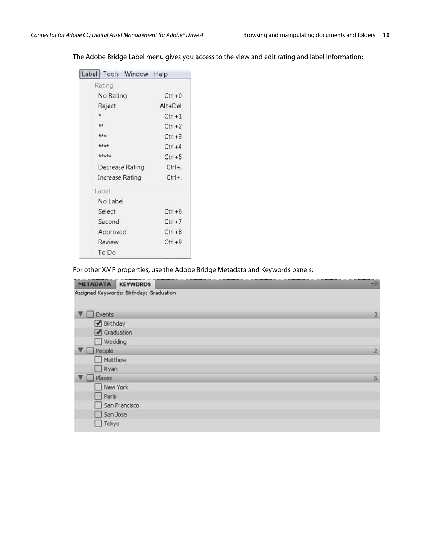| Label | Tools Window    | Help       |
|-------|-----------------|------------|
|       | Rating          |            |
|       | No Rating       | $Ctrl + 0$ |
|       | Reject          | $Alt+Del$  |
|       | ŵ               | $Ctrl + 1$ |
|       | **              | $Ctrl + 2$ |
|       | ***             | $C$ trl +3 |
|       | ****            | $Ctrl + 4$ |
|       | *****           | $Ctrl + 5$ |
|       | Decrease Rating | Ctrl +,    |
|       | Increase Rating | $Ctrl +$ . |
|       | Label           |            |
|       | No Label        |            |
|       | Select          | $Ctrl + 6$ |
|       | Second          | $Ctrl + 7$ |
|       | Approved        | $C$ trl +8 |
|       | Review          | $Ctrl + 9$ |
|       | To Do           |            |

The Adobe Bridge Label menu gives you access to the view and edit rating and label information:

For other XMP properties, use the Adobe Bridge Metadata and Keywords panels:

| <b>METADATA</b><br><b>KEYWORDS</b>      | ٧m             |
|-----------------------------------------|----------------|
| Assigned Keywords: Birthday; Graduation |                |
|                                         |                |
| Events                                  | 3              |
| Birthday                                |                |
| $\sqrt{ }$ Graduation                   |                |
| Wedding                                 |                |
| People<br><b>The Real</b>               | $\overline{2}$ |
| Matthew                                 |                |
| $\Box$ Ryan                             |                |
| Places                                  | 5              |
| New York                                |                |
| $\Box$ Paris                            |                |
| San Francisco                           |                |
| San Jose                                |                |
| Tokyo                                   |                |
|                                         |                |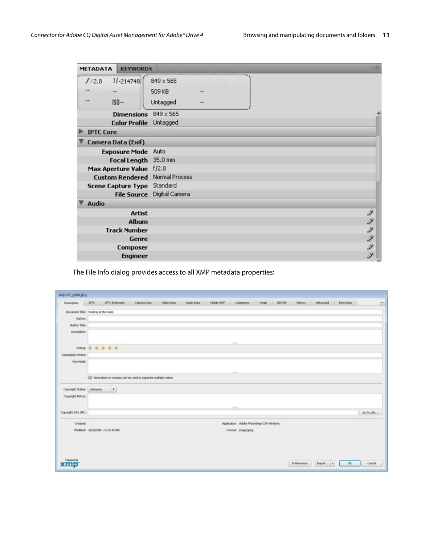| <b>METADATA</b>  | <b>KEYWORDS</b>             |                                       |    |  |      |
|------------------|-----------------------------|---------------------------------------|----|--|------|
| f/2.8            | $1/ -214748$                | 849 x 565                             |    |  |      |
|                  |                             | 509 KB                                |    |  |      |
|                  | $IS0 - -$                   | Untagged                              | -- |  |      |
|                  | <b>Dimensions</b>           | $849 \times 565$                      |    |  |      |
|                  | Color Profile Untagged      |                                       |    |  |      |
| <b>IPTC Core</b> |                             |                                       |    |  |      |
|                  | Camera Data (Exif)          |                                       |    |  |      |
|                  | <b>Exposure Mode</b> Auto   |                                       |    |  |      |
|                  | Focal Length 35.0 mm        |                                       |    |  |      |
|                  | Max Aperture Value f/2.8    |                                       |    |  |      |
|                  |                             | <b>Custom Rendered Normal Process</b> |    |  |      |
|                  | Scene Capture Type Standard |                                       |    |  |      |
|                  |                             | File Source Digital Camera            |    |  |      |
| <b>Audio</b>     |                             |                                       |    |  |      |
|                  | <b>Artist</b>               |                                       |    |  | ¥    |
|                  | Album                       |                                       |    |  |      |
|                  | <b>Track Number</b>         |                                       |    |  |      |
|                  | Genre                       |                                       |    |  | とうりょ |
|                  | <b>Composer</b>             |                                       |    |  |      |
|                  | <b>Engineer</b>             |                                       |    |  | Ì    |

The File Info dialog provides access to all XMP metadata properties:

| airport_gate.jpg                               | IPTC                  | <b>IPTC Extension</b>            | Camera Data                                                    | Video Data | Audio Data | Mobile SWF | Categories                                                                                     | Origin                                   | DOCOM | History     | Advanced | <b>Raw Data</b> |           |
|------------------------------------------------|-----------------------|----------------------------------|----------------------------------------------------------------|------------|------------|------------|------------------------------------------------------------------------------------------------|------------------------------------------|-------|-------------|----------|-----------------|-----------|
| Description                                    |                       |                                  |                                                                |            |            |            |                                                                                                |                                          |       |             |          |                 |           |
| Document Title: Walting at the Gate<br>Author: |                       |                                  |                                                                |            |            |            |                                                                                                |                                          |       |             |          |                 |           |
| Author Title:                                  |                       |                                  |                                                                |            |            |            |                                                                                                |                                          |       |             |          |                 |           |
| Description:                                   |                       |                                  |                                                                |            |            |            |                                                                                                |                                          |       |             |          |                 |           |
|                                                |                       |                                  |                                                                |            |            |            | $\frac{1}{2} \left( \frac{1}{2} \right) \left( \frac{1}{2} \right) \left( \frac{1}{2} \right)$ |                                          |       |             |          |                 |           |
|                                                | <b>Ning ★ ★ ★ ★ ★</b> |                                  |                                                                |            |            |            |                                                                                                |                                          |       |             |          |                 |           |
| Description Writer:                            |                       |                                  |                                                                |            |            |            |                                                                                                |                                          |       |             |          |                 |           |
| Keywords:                                      |                       |                                  |                                                                |            |            |            |                                                                                                |                                          |       |             |          |                 |           |
|                                                |                       |                                  | 4 Semicolons or commas can be used to separate multiple values |            |            |            |                                                                                                |                                          |       |             |          |                 |           |
| Copyright Status: Unknown                      |                       | $\overline{\phantom{a}}$         |                                                                |            |            |            |                                                                                                |                                          |       |             |          |                 |           |
| Copyright Notice:                              |                       |                                  |                                                                |            |            |            |                                                                                                |                                          |       |             |          |                 |           |
|                                                |                       |                                  |                                                                |            |            |            | $\overline{\phantom{a}}$                                                                       |                                          |       |             |          |                 |           |
| Copyright Info URL:                            |                       |                                  |                                                                |            |            |            |                                                                                                |                                          |       |             |          |                 | Go To URL |
| Created:                                       |                       |                                  |                                                                |            |            |            |                                                                                                | Application: Adobe Photoshop CS4 Windows |       |             |          |                 |           |
|                                                |                       | Modified: 4/29/2009 - 6:10:15 AM |                                                                |            |            |            | Format: image/peg                                                                              |                                          |       |             |          |                 |           |
|                                                |                       |                                  |                                                                |            |            |            |                                                                                                |                                          |       |             |          |                 |           |
|                                                |                       |                                  |                                                                |            |            |            |                                                                                                |                                          |       |             |          |                 |           |
|                                                |                       |                                  |                                                                |            |            |            |                                                                                                |                                          |       |             |          |                 |           |
|                                                |                       |                                  |                                                                |            |            |            |                                                                                                |                                          |       | Proferences | Import   | OK              | Cancel    |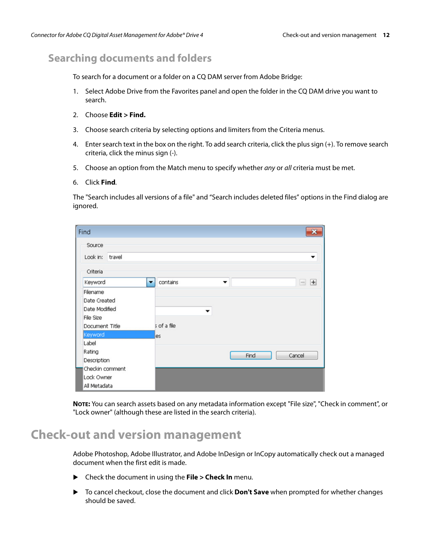# <span id="page-11-0"></span>**Searching documents and folders**

To search for a document or a folder on a CQ DAM server from Adobe Bridge:

- 1. Select Adobe Drive from the Favorites panel and open the folder in the CQ DAM drive you want to search.
- 2. Choose **Edit > Find.**
- 3. Choose search criteria by selecting options and limiters from the Criteria menus.
- 4. Enter search text in the box on the right. To add search criteria, click the plus sign (+). To remove search criteria, click the minus sign (-).
- 5. Choose an option from the Match menu to specify whether any or all criteria must be met.
- 6. Click **Find**.

The "Search includes all versions of a file" and "Search includes deleted files" options in the Find dialog are ignored.

| Find               |                                           |
|--------------------|-------------------------------------------|
| Source             |                                           |
| Look in:<br>travel | ▼                                         |
| Criteria           |                                           |
| Keyword<br>▼       | contains<br>$+$<br>▼<br>$\qquad \qquad =$ |
| Filename           |                                           |
| Date Created       |                                           |
| Date Modified      | ▼                                         |
| <b>File Size</b>   |                                           |
| Document Title     | s of a file                               |
| Keyword            | es                                        |
| Label              |                                           |
| Rating             | Cancel<br>Find                            |
| Description        |                                           |
| Checkin comment    |                                           |
| Lock Owner         |                                           |
| All Metadata       |                                           |

**NOTE:** You can search assets based on any metadata information except "File size", "Check in comment", or "Lock owner" (although these are listed in the search criteria).

# <span id="page-11-1"></span>**Check-out and version management**

Adobe Photoshop, Adobe Illustrator, and Adobe InDesign or InCopy automatically check out a managed document when the first edit is made.

- Check the document in using the **File > Check In** menu.
- To cancel checkout, close the document and click **Don't Save** when prompted for whether changes should be saved.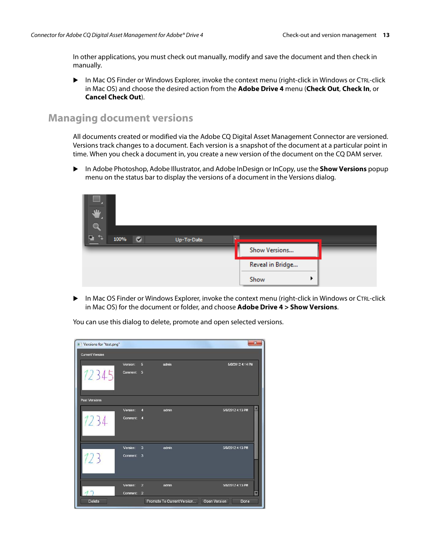In other applications, you must check out manually, modify and save the document and then check in manually.

 In Mac OS Finder or Windows Explorer, invoke the context menu (right-click in Windows or CTRL-click in Mac OS) and choose the desired action from the **Adobe Drive 4** menu (**Check Out**, **Check In**, or **Cancel Check Out**).

#### <span id="page-12-0"></span>**Managing document versions**

All documents created or modified via the Adobe CQ Digital Asset Management Connector are versioned. Versions track changes to a document. Each version is a snapshot of the document at a particular point in time. When you check a document in, you create a new version of the document on the CQ DAM server.

 In Adobe Photoshop, Adobe Illustrator, and Adobe InDesign or InCopy, use the **Show Versions** popup menu on the status bar to display the versions of a document in the Versions dialog.



 In Mac OS Finder or Windows Explorer, invoke the context menu (right-click in Windows or CTRL-click in Mac OS) for the document or folder, and choose **Adobe Drive 4 > Show Versions**.

You can use this dialog to delete, promote and open selected versions.

| Versions for "test.png" |            |                         |                            | $\overline{\mathbf{x}}$ |
|-------------------------|------------|-------------------------|----------------------------|-------------------------|
| <b>Current Version</b>  |            |                         |                            |                         |
|                         | Version:   | $\overline{5}$          | admin                      | 5/8/2012 4:14 PM        |
| 12345                   | Comment:   | 5                       |                            |                         |
| <b>Past Versions</b>    |            |                         |                            |                         |
|                         | Version:   | $\overline{A}$          | admin                      | 5/8/2012 4:13 PM        |
| 1234                    | Comment:   | $\overline{4}$          |                            |                         |
|                         | Version:   | $\overline{\mathbf{3}}$ | admin                      | 5/8/2012 4:13 PM        |
| 123                     | Comment: 3 |                         |                            |                         |
|                         | Version:   | $\overline{2}$          | admin                      | 5/8/2012 4:13 PM        |
|                         | Comment:   | $\overline{2}$          |                            |                         |
| <b>Delete</b>           |            |                         | Promote To Current Version | Open Version<br>Done    |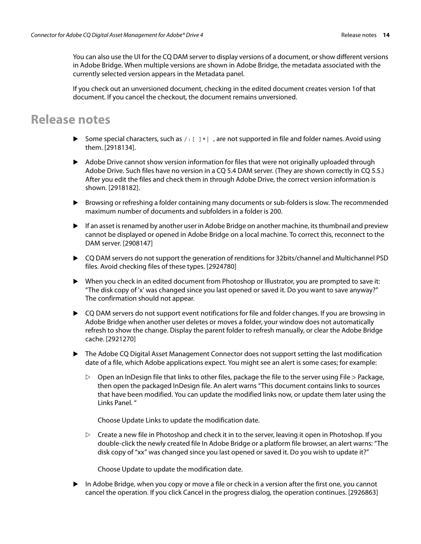You can also use the UI for the CQ DAM server to display versions of a document, or show different versions in Adobe Bridge. When multiple versions are shown in Adobe Bridge, the metadata associated with the currently selected version appears in the Metadata panel.

If you check out an unversioned document, checking in the edited document creates version 1of that document. If you cancel the checkout, the document remains unversioned.

# <span id="page-13-0"></span>**Release notes**

- Some special characters, such as  $/$ :  $[$   $]$  \*  $|$ , are not supported in file and folder names. Avoid using them. [2918134].
- Adobe Drive cannot show version information for files that were not originally uploaded through Adobe Drive. Such files have no version in a CQ 5.4 DAM server. (They are shown correctly in CQ 5.5.) After you edit the files and check them in through Adobe Drive, the correct version information is shown. [2918182].
- Browsing or refreshing a folder containing many documents or sub-folders is slow. The recommended maximum number of documents and subfolders in a folder is 200.
- If an asset is renamed by another user in Adobe Bridge on another machine, its thumbnail and preview cannot be displayed or opened in Adobe Bridge on a local machine. To correct this, reconnect to the DAM server. [2908147]
- CQ DAM servers do not support the generation of renditions for 32bits/channel and Multichannel PSD files. Avoid checking files of these types. [2924780]
- When you check in an edited document from Photoshop or Illustrator, you are prompted to save it: "The disk copy of 'x' was changed since you last opened or saved it. Do you want to save anyway?" The confirmation should not appear.
- ▶ CQ DAM servers do not support event notifications for file and folder changes. If you are browsing in Adobe Bridge when another user deletes or moves a folder, your window does not automatically refresh to show the change. Display the parent folder to refresh manually, or clear the Adobe Bridge cache. [2921270]
- ▶ The Adobe CQ Digital Asset Management Connector does not support setting the last modification date of a file, which Adobe applications expect. You might see an alert is some cases; for example:
	- $\triangleright$  Open an InDesign file that links to other files, package the file to the server using File  $>$  Package, then open the packaged InDesign file. An alert warns "This document contains links to sources that have been modified. You can update the modified links now, or update them later using the Links Panel. "

Choose Update Links to update the modification date.

 $\triangleright$  Create a new file in Photoshop and check it in to the server, leaving it open in Photoshop. If you double-click the newly created file In Adobe Bridge or a platform file browser, an alert warns: "The disk copy of "xx" was changed since you last opened or saved it. Do you wish to update it?"

Choose Update to update the modification date.

 $\blacktriangleright$  In Adobe Bridge, when you copy or move a file or check in a version after the first one, you cannot cancel the operation. If you click Cancel in the progress dialog, the operation continues. [2926863]